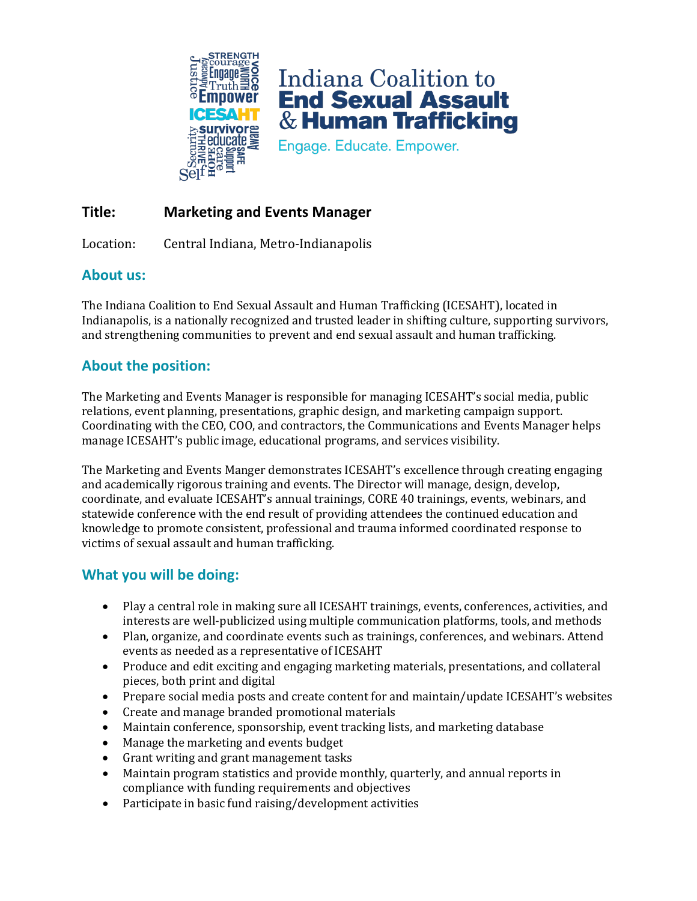

Indiana Coalition to **End Sexual Assault**  $\&$  Human Trafficking

Engage. Educate. Empower.

# **Title: Marketing and Events Manager**

Location: Central Indiana, Metro-Indianapolis

# **About us:**

The Indiana Coalition to End Sexual Assault and Human Trafficking (ICESAHT), located in Indianapolis, is a nationally recognized and trusted leader in shifting culture, supporting survivors, and strengthening communities to prevent and end sexual assault and human trafficking.

# **About the position:**

The Marketing and Events Manager is responsible for managing ICESAHT's social media, public relations, event planning, presentations, graphic design, and marketing campaign support. Coordinating with the CEO, COO, and contractors, the Communications and Events Manager helps manage ICESAHT's public image, educational programs, and services visibility.

The Marketing and Events Manger demonstrates ICESAHT's excellence through creating engaging and academically rigorous training and events. The Director will manage, design, develop, coordinate, and evaluate ICESAHT's annual trainings, CORE 40 trainings, events, webinars, and statewide conference with the end result of providing attendees the continued education and knowledge to promote consistent, professional and trauma informed coordinated response to victims of sexual assault and human trafficking.

# **What you will be doing:**

- Play a central role in making sure all ICESAHT trainings, events, conferences, activities, and interests are well-publicized using multiple communication platforms, tools, and methods
- Plan, organize, and coordinate events such as trainings, conferences, and webinars. Attend events as needed as a representative of ICESAHT
- Produce and edit exciting and engaging marketing materials, presentations, and collateral pieces, both print and digital
- Prepare social media posts and create content for and maintain/update ICESAHT's websites
- Create and manage branded promotional materials
- Maintain conference, sponsorship, event tracking lists, and marketing database
- Manage the marketing and events budget
- Grant writing and grant management tasks
- Maintain program statistics and provide monthly, quarterly, and annual reports in compliance with funding requirements and objectives
- Participate in basic fund raising/development activities